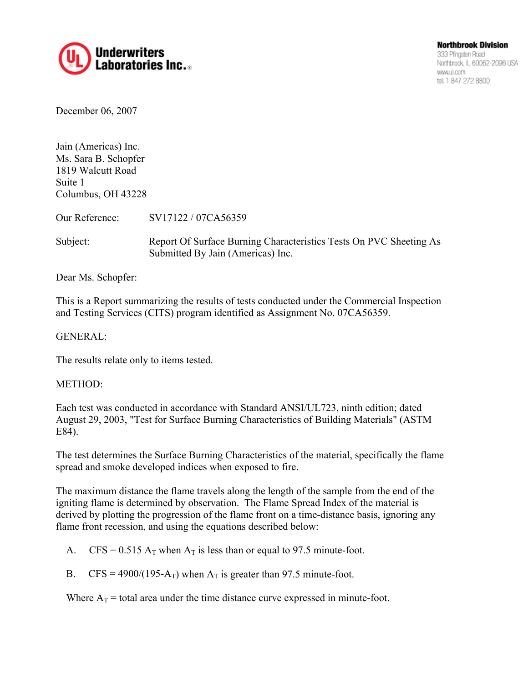

December 06, 2007

Jain (Americas) Inc. Ms. Sara B. Schopfer 1819 Walcutt Road Suite 1 Columbus, OH 43228

Our Reference: SV17122 / 07CA56359

Subject: Report Of Surface Burning Characteristics Tests On PVC Sheeting As Submitted By Jain (Americas) Inc.

Dear Ms. Schopfer:

This is a Report summarizing the results of tests conducted under the Commercial Inspection and Testing Services (CITS) program identified as Assignment No. 07CA56359.

### GENERAL:

The results relate only to items tested.

#### METHOD:

Each test was conducted in accordance with Standard ANSI/UL723, ninth edition; dated August 29, 2003, "Test for Surface Burning Characteristics of Building Materials" (ASTM E84).

The test determines the Surface Burning Characteristics of the material, specifically the flame spread and smoke developed indices when exposed to fire.

The maximum distance the flame travels along the length of the sample from the end of the igniting flame is determined by observation. The Flame Spread Index of the material is derived by plotting the progression of the flame front on a time-distance basis, ignoring any flame front recession, and using the equations described below:

- A. CFS =  $0.515$  A<sub>T</sub> when A<sub>T</sub> is less than or equal to 97.5 minute-foot.
- B.  $CFS = 4900/(195-A_T)$  when  $A_T$  is greater than 97.5 minute-foot.

Where  $A_T$  = total area under the time distance curve expressed in minute-foot.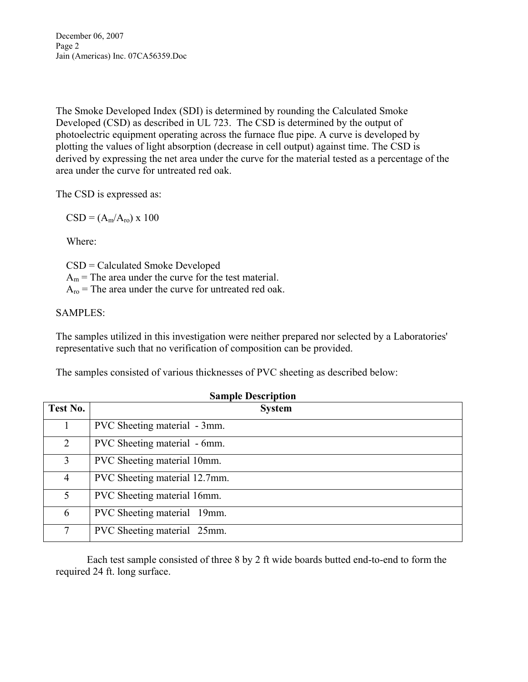December 06, 2007 Page 2 Jain (Americas) Inc. 07CA56359.Doc

The Smoke Developed Index (SDI) is determined by rounding the Calculated Smoke Developed (CSD) as described in UL 723. The CSD is determined by the output of photoelectric equipment operating across the furnace flue pipe. A curve is developed by plotting the values of light absorption (decrease in cell output) against time. The CSD is derived by expressing the net area under the curve for the material tested as a percentage of the area under the curve for untreated red oak.

The CSD is expressed as:

 $CSD = (A_m/A_{ro}) \times 100$ 

Where:

 CSD = Calculated Smoke Developed  $A_m$  = The area under the curve for the test material.  $A_{\text{ro}}$  = The area under the curve for untreated red oak.

### SAMPLES:

The samples utilized in this investigation were neither prepared nor selected by a Laboratories' representative such that no verification of composition can be provided.

The samples consisted of various thicknesses of PVC sheeting as described below:

| Test No.       | <b>System</b>                 |
|----------------|-------------------------------|
|                | PVC Sheeting material - 3mm.  |
| 2              | PVC Sheeting material - 6mm.  |
| 3              | PVC Sheeting material 10mm.   |
| 4              | PVC Sheeting material 12.7mm. |
| 5              | PVC Sheeting material 16mm.   |
| 6              | PVC Sheeting material 19mm.   |
| $\overline{7}$ | PVC Sheeting material 25mm.   |

**Sample Description** 

Each test sample consisted of three 8 by 2 ft wide boards butted end-to-end to form the required 24 ft. long surface.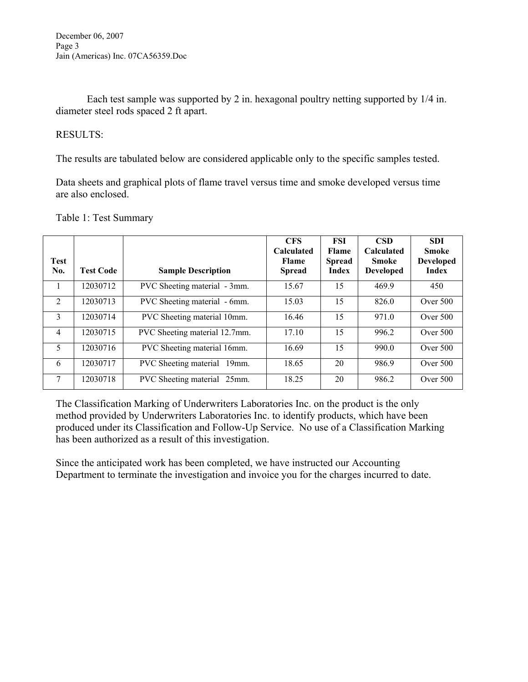Each test sample was supported by 2 in. hexagonal poultry netting supported by 1/4 in. diameter steel rods spaced 2 ft apart.

# RESULTS:

The results are tabulated below are considered applicable only to the specific samples tested.

Data sheets and graphical plots of flame travel versus time and smoke developed versus time are also enclosed.

| Test<br>No.    | <b>Test Code</b> | <b>Sample Description</b>                | <b>CFS</b><br><b>Calculated</b><br><b>Flame</b><br><b>Spread</b> | <b>FSI</b><br>Flame<br><b>Spread</b><br>Index | <b>CSD</b><br><b>Calculated</b><br><b>Smoke</b><br><b>Developed</b> | <b>SDI</b><br><b>Smoke</b><br><b>Developed</b><br>Index |
|----------------|------------------|------------------------------------------|------------------------------------------------------------------|-----------------------------------------------|---------------------------------------------------------------------|---------------------------------------------------------|
|                | 12030712         | PVC Sheeting material - 3mm.             | 15.67                                                            | 15                                            | 469.9                                                               | 450                                                     |
| $\overline{2}$ | 12030713         | PVC Sheeting material - 6mm.             | 15.03                                                            | 15                                            | 826.0                                                               | Over $500$                                              |
| $\mathbf{3}$   | 12030714         | PVC Sheeting material 10mm.              | 16.46                                                            | 15                                            | 971.0                                                               | Over 500                                                |
| $\overline{4}$ | 12030715         | PVC Sheeting material 12.7mm.            | 17.10                                                            | 15                                            | 996.2                                                               | Over 500                                                |
| 5              | 12030716         | PVC Sheeting material 16mm.              | 16.69                                                            | 15                                            | 990.0                                                               | Over 500                                                |
| 6              | 12030717         | <b>PVC</b> Sheeting material<br>$19$ mm. | 18.65                                                            | 20                                            | 986.9                                                               | Over 500                                                |
| 7              | 12030718         | PVC Sheeting material 25mm.              | 18.25                                                            | 20                                            | 986.2                                                               | Over 500                                                |

## Table 1: Test Summary

The Classification Marking of Underwriters Laboratories Inc. on the product is the only method provided by Underwriters Laboratories Inc. to identify products, which have been produced under its Classification and Follow-Up Service. No use of a Classification Marking has been authorized as a result of this investigation.

Since the anticipated work has been completed, we have instructed our Accounting Department to terminate the investigation and invoice you for the charges incurred to date.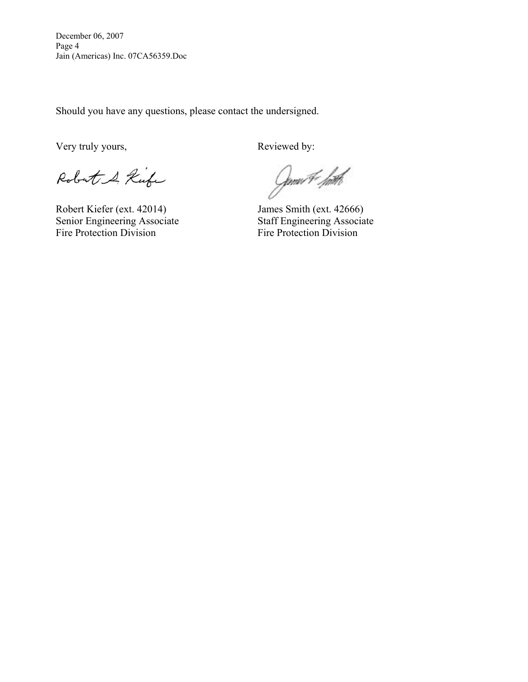December 06, 2007 Page 4 Jain (Americas) Inc. 07CA56359.Doc

Should you have any questions, please contact the undersigned.

Very truly yours, Reviewed by:

Robert & Kufe

Robert Kiefer (ext. 42014) James Smith (ext. 42666)<br>Senior Engineering Associate Staff Engineering Associate Senior Engineering Associate Fire Protection Division<br>Fire Protection Division

Gmu#*. hith*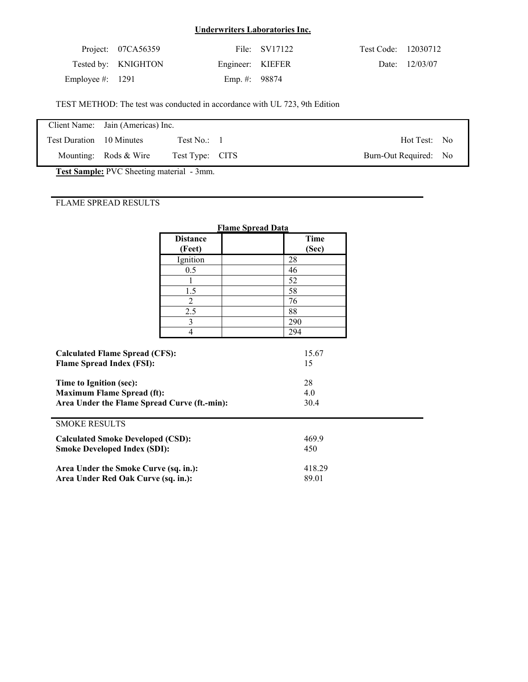|                    | Project: 07CA56359  |                  | File: SV17122 | Test Code: 12030712 |                |
|--------------------|---------------------|------------------|---------------|---------------------|----------------|
|                    | Tested by: KNIGHTON | Engineer: KIEFER |               |                     | Date: 12/03/07 |
| Employee #: $1291$ |                     | Emp. #: $98874$  |               |                     |                |

TEST METHOD: The test was conducted in accordance with UL 723, 9th Edition

|                          | Client Name: Jain (Americas) Inc. |                 |                       |  |
|--------------------------|-----------------------------------|-----------------|-----------------------|--|
| Test Duration 10 Minutes |                                   | Test No.: 1     | Hot Test: No          |  |
|                          | Mounting: Rods $&$ Wire           | Test Type: CITS | Burn-Out Required: No |  |
|                          |                                   |                 |                       |  |

**Test Sample:** PVC Sheeting material - 3mm.

|                                                                                 |                                       | <b>Flame Spread Data</b> |
|---------------------------------------------------------------------------------|---------------------------------------|--------------------------|
|                                                                                 | <b>Distance</b>                       | <b>Time</b>              |
|                                                                                 | (Feet)                                | (Sec)                    |
|                                                                                 | Ignition                              | 28                       |
|                                                                                 | 0.5                                   | 46                       |
|                                                                                 | 1                                     | 52                       |
|                                                                                 | 1.5                                   | 58                       |
|                                                                                 | $\overline{2}$                        | 76                       |
|                                                                                 | 2.5                                   | 88                       |
|                                                                                 | 3                                     | 290                      |
|                                                                                 | $\overline{4}$                        | 294                      |
| <b>Flame Spread Index (FSI):</b>                                                | <b>Calculated Flame Spread (CFS):</b> |                          |
| Time to Ignition (sec):                                                         |                                       | 28                       |
| <b>Maximum Flame Spread (ft):</b>                                               |                                       | 4.0                      |
| Area Under the Flame Spread Curve (ft.-min):                                    |                                       | 30.4                     |
| <b>SMOKE RESULTS</b>                                                            |                                       |                          |
| <b>Calculated Smoke Developed (CSD):</b><br><b>Smoke Developed Index (SDI):</b> |                                       | 469.9<br>450             |
| Area Under the Smoke Curve (sq. in.):<br>Area Under Red Oak Curve (sq. in.):    |                                       | 418.29<br>89.01          |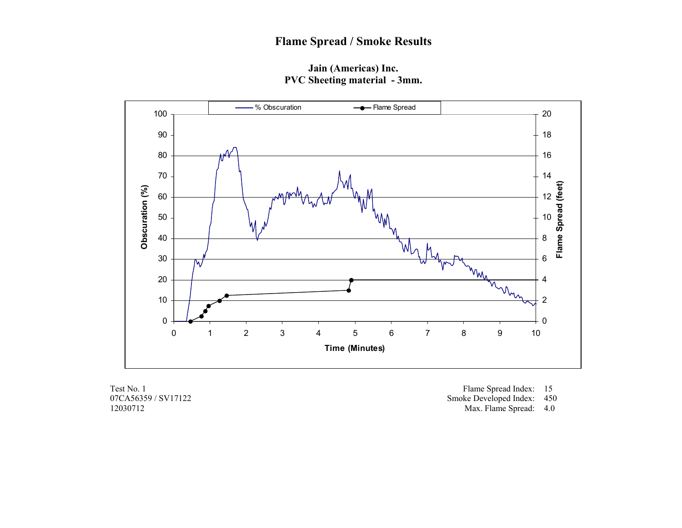**Jain (Americas) Inc. PVC Sheeting material - 3mm.** 



07CA56359 / SV17122 12030712

Test No. 1 Flame Spread Index: 15

Smoke Developed Index: 450

Max. Flame Spread: 4.0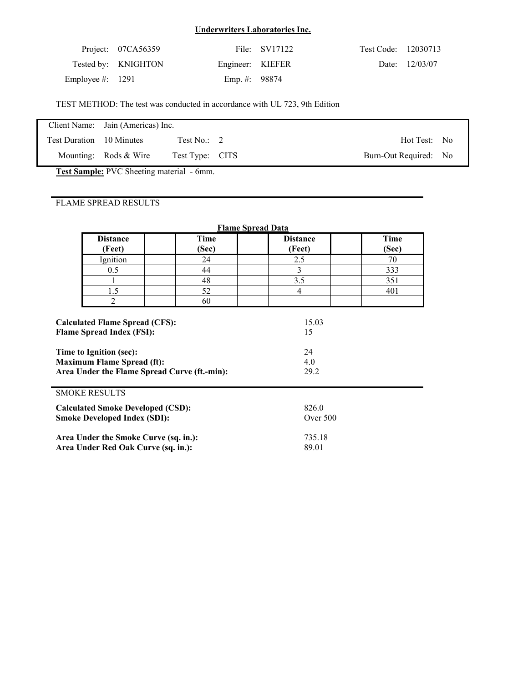|                    | Project: 07CA56359  |                  | File: SV17122 | Test Code: 12030713 |                |
|--------------------|---------------------|------------------|---------------|---------------------|----------------|
|                    | Tested by: KNIGHTON | Engineer: KIEFER |               |                     | Date: 12/03/07 |
| Employee #: $1291$ |                     | Emp. #: $98874$  |               |                     |                |

TEST METHOD: The test was conducted in accordance with UL 723, 9th Edition

|                          | Client Name: Jain (Americas) Inc. |                 |                       |  |
|--------------------------|-----------------------------------|-----------------|-----------------------|--|
| Test Duration 10 Minutes |                                   | Test No.: $2$   | Hot Test: No          |  |
|                          | Mounting: Rods & Wire             | Test Type: CITS | Burn-Out Required: No |  |

**Test Sample:** PVC Sheeting material - 6mm.

| <b>Flame Spread Data</b>                                                                                                                                                                  |                      |                                  |                      |  |  |  |  |  |  |
|-------------------------------------------------------------------------------------------------------------------------------------------------------------------------------------------|----------------------|----------------------------------|----------------------|--|--|--|--|--|--|
| <b>Distance</b><br>(Feet)                                                                                                                                                                 | <b>Time</b><br>(Sec) | <b>Distance</b><br>(Feet)        | <b>Time</b><br>(Sec) |  |  |  |  |  |  |
| Ignition                                                                                                                                                                                  | 24                   | 2.5                              | 70                   |  |  |  |  |  |  |
| 0.5                                                                                                                                                                                       | 44                   | 3                                | 333                  |  |  |  |  |  |  |
|                                                                                                                                                                                           | 48                   | 3.5                              | 351                  |  |  |  |  |  |  |
| 1.5                                                                                                                                                                                       | 52                   | $\overline{4}$                   | 401                  |  |  |  |  |  |  |
| 2                                                                                                                                                                                         | 60                   |                                  |                      |  |  |  |  |  |  |
| <b>Calculated Flame Spread (CFS):</b><br><b>Flame Spread Index (FSI):</b><br>Time to Ignition (sec):<br><b>Maximum Flame Spread (ft):</b><br>Area Under the Flame Spread Curve (ft.-min): |                      | 15.03<br>15<br>24<br>4.0<br>29.2 |                      |  |  |  |  |  |  |
| <b>SMOKE RESULTS</b>                                                                                                                                                                      |                      |                                  |                      |  |  |  |  |  |  |
| <b>Calculated Smoke Developed (CSD):</b>                                                                                                                                                  |                      | 826.0                            |                      |  |  |  |  |  |  |
| <b>Smoke Developed Index (SDI):</b>                                                                                                                                                       |                      | Over $500$                       |                      |  |  |  |  |  |  |
| Area Under the Smoke Curve (sq. in.):                                                                                                                                                     |                      | 735.18                           |                      |  |  |  |  |  |  |
| Area Under Red Oak Curve (sq. in.):                                                                                                                                                       |                      | 89.01                            |                      |  |  |  |  |  |  |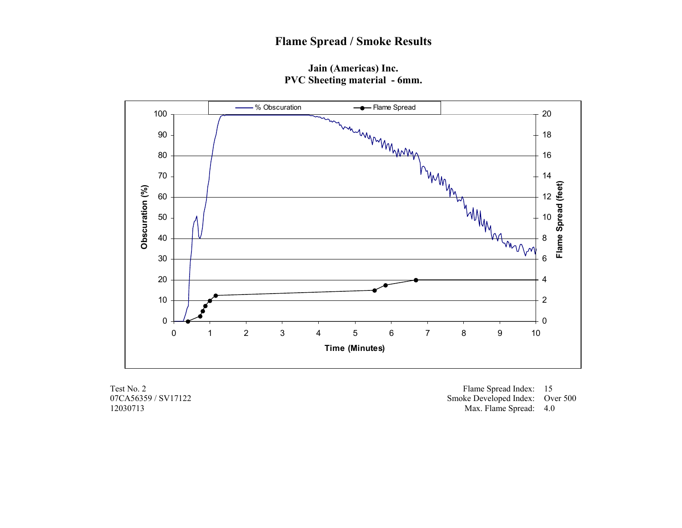**Jain (Americas) Inc. PVC Sheeting material - 6mm.** 



07CA56359 / SV17122 12030713

Test No. 2 Flame Spread Index: 15 Smoke Developed Index: Over 500 Max. Flame Spread: 4.0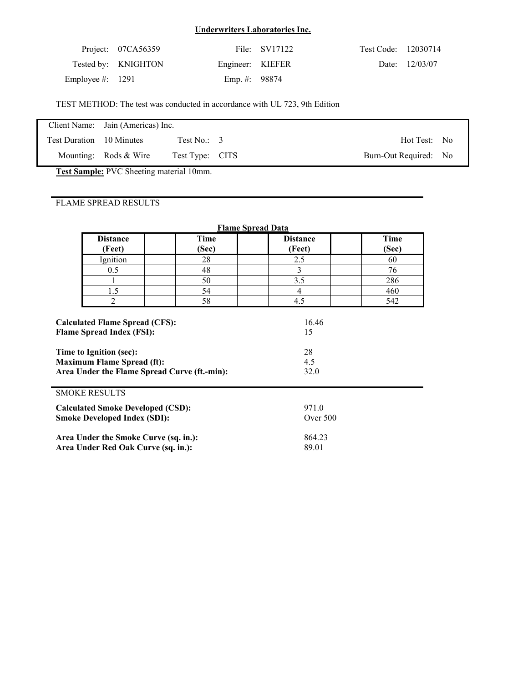|                    | Project: 07CA56359  |                  | File: SV17122 | Test Code: 12030714 |                |
|--------------------|---------------------|------------------|---------------|---------------------|----------------|
|                    | Tested by: KNIGHTON | Engineer: KIEFER |               |                     | Date: 12/03/07 |
| Employee #: $1291$ |                     | Emp. #: $98874$  |               |                     |                |

TEST METHOD: The test was conducted in accordance with UL 723, 9th Edition

|                          | Client Name: Jain (Americas) Inc. |                  |                       |  |
|--------------------------|-----------------------------------|------------------|-----------------------|--|
| Test Duration 10 Minutes |                                   | Test No.: $\,$ 3 | Hot Test: No          |  |
|                          | Mounting: Rods $&$ Wire           | Test Type: CITS  | Burn-Out Required: No |  |

**Test Sample:** PVC Sheeting material 10mm.

| <b>Flame Spread Data</b>                                                                                                                                                                  |                                                                              |                      |                           |                      |  |  |  |  |  |
|-------------------------------------------------------------------------------------------------------------------------------------------------------------------------------------------|------------------------------------------------------------------------------|----------------------|---------------------------|----------------------|--|--|--|--|--|
|                                                                                                                                                                                           | <b>Distance</b><br>(Feet)                                                    | <b>Time</b><br>(Sec) | <b>Distance</b><br>(Feet) | <b>Time</b><br>(Sec) |  |  |  |  |  |
|                                                                                                                                                                                           | Ignition                                                                     | 28                   | 2.5                       | 60                   |  |  |  |  |  |
|                                                                                                                                                                                           | 0.5                                                                          | 48                   | 3                         | 76                   |  |  |  |  |  |
|                                                                                                                                                                                           |                                                                              | 50                   | 3.5                       | 286                  |  |  |  |  |  |
|                                                                                                                                                                                           | 1.5                                                                          | 54                   | $\overline{4}$            | 460                  |  |  |  |  |  |
|                                                                                                                                                                                           | 2                                                                            | 58                   | 4.5                       | 542                  |  |  |  |  |  |
| <b>Calculated Flame Spread (CFS):</b><br><b>Flame Spread Index (FSI):</b><br>Time to Ignition (sec):<br><b>Maximum Flame Spread (ft):</b><br>Area Under the Flame Spread Curve (ft.-min): |                                                                              |                      | 15<br>28<br>4.5<br>32.0   |                      |  |  |  |  |  |
|                                                                                                                                                                                           | <b>SMOKE RESULTS</b>                                                         |                      |                           |                      |  |  |  |  |  |
| <b>Calculated Smoke Developed (CSD):</b>                                                                                                                                                  |                                                                              |                      | 971.0                     |                      |  |  |  |  |  |
|                                                                                                                                                                                           | <b>Smoke Developed Index (SDI):</b>                                          |                      | Over $500$                |                      |  |  |  |  |  |
|                                                                                                                                                                                           | Area Under the Smoke Curve (sq. in.):<br>Area Under Red Oak Curve (sq. in.): |                      | 864.23<br>89.01           |                      |  |  |  |  |  |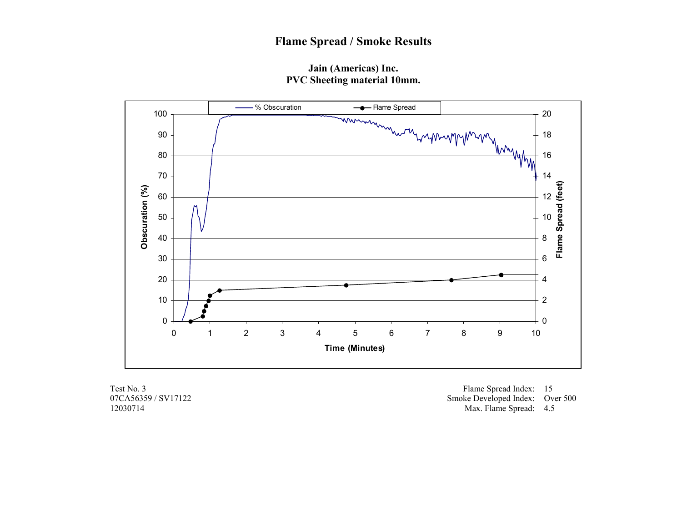**Jain (Americas) Inc. PVC Sheeting material 10mm.** 



07CA56359 / SV17122 12030714

Test No. 3 Flame Spread Index: 15 Smoke Developed Index: Over 500 Max. Flame Spread: 4.5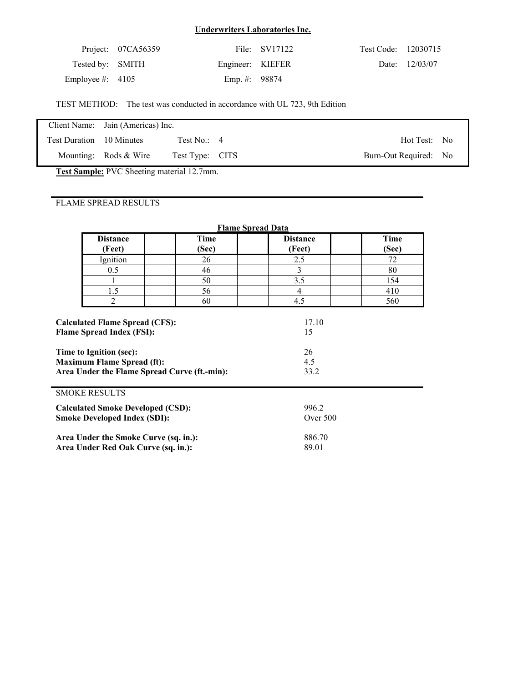|                    | Project: $07CA56359$ |                  | File: SV17122 | Test Code: 12030715 |                |
|--------------------|----------------------|------------------|---------------|---------------------|----------------|
| Tested by: SMITH   |                      | Engineer: KIEFER |               |                     | Date: 12/03/07 |
| Employee #: $4105$ |                      | Emp. #: $98874$  |               |                     |                |

TEST METHOD: The test was conducted in accordance with UL 723, 9th Edition

|                          | Client Name: Jain (Americas) Inc. |                 |                       |  |
|--------------------------|-----------------------------------|-----------------|-----------------------|--|
| Test Duration 10 Minutes |                                   | Test No.: $4$   | Hot Test: No          |  |
|                          | Mounting: Rods $&$ Wire           | Test Type: CITS | Burn-Out Required: No |  |

**Test Sample:** PVC Sheeting material 12.7mm.

|                                                                                                                                                  | <b>Flame Spread Data</b> |                           |                      |  |  |
|--------------------------------------------------------------------------------------------------------------------------------------------------|--------------------------|---------------------------|----------------------|--|--|
| <b>Distance</b><br>(Feet)                                                                                                                        | Time<br>(Sec)            | <b>Distance</b><br>(Feet) | <b>Time</b><br>(Sec) |  |  |
| Ignition                                                                                                                                         | 26                       | 2.5                       | 72                   |  |  |
| 0.5                                                                                                                                              | 46                       | 3                         | 80                   |  |  |
|                                                                                                                                                  | 50                       | 3.5                       | 154                  |  |  |
| 1.5                                                                                                                                              | 56                       | $\overline{4}$            | 410                  |  |  |
| 2                                                                                                                                                | 60                       | 4.5                       | 560                  |  |  |
| <b>Flame Spread Index (FSI):</b><br>Time to Ignition (sec):<br><b>Maximum Flame Spread (ft):</b><br>Area Under the Flame Spread Curve (ft.-min): |                          | 15<br>26<br>4.5<br>33.2   |                      |  |  |
| <b>SMOKE RESULTS</b>                                                                                                                             |                          |                           |                      |  |  |
| <b>Calculated Smoke Developed (CSD):</b><br><b>Smoke Developed Index (SDI):</b>                                                                  |                          | 996.2<br>Over 500         |                      |  |  |
| Area Under the Smoke Curve (sq. in.):<br>Area Under Red Oak Curve (sq. in.):                                                                     |                          | 886.70<br>89.01           |                      |  |  |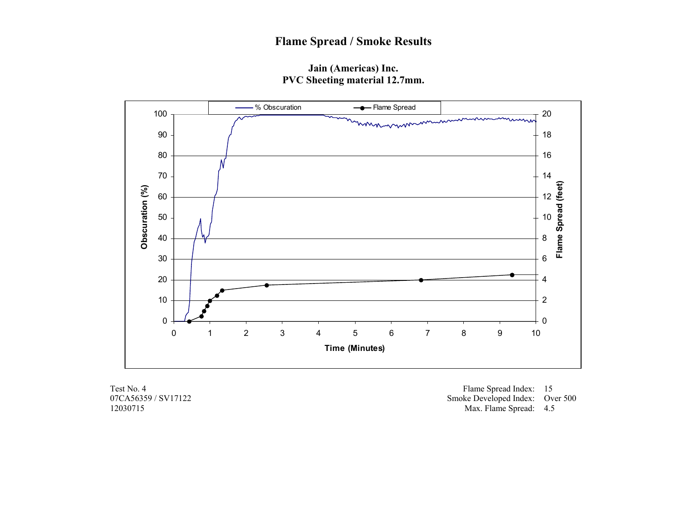## **Jain (Americas) Inc. PVC Sheeting material 12.7mm.**



07CA56359 / SV17122 12030715

Test No. 4 Flame Spread Index: 15 Smoke Developed Index: Over 500 Max. Flame Spread: 4.5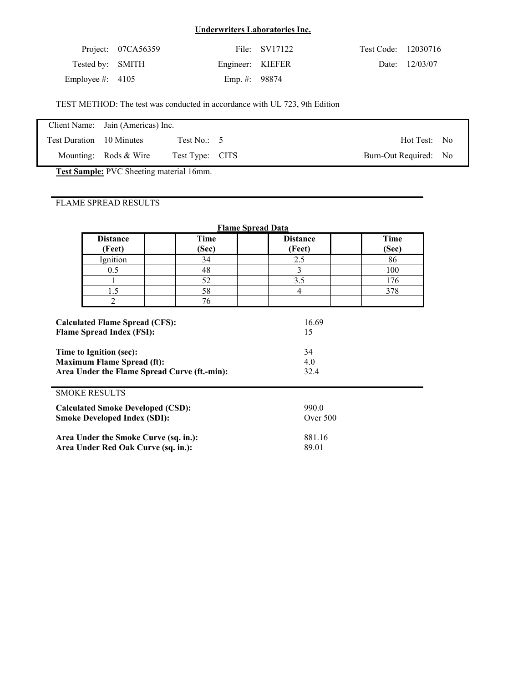|                    | Project: 07CA56359 |                  | File: SV17122 | Test Code: 12030716 |                |
|--------------------|--------------------|------------------|---------------|---------------------|----------------|
| Tested by: SMITH   |                    | Engineer: KIEFER |               |                     | Date: 12/03/07 |
| Employee #: $4105$ |                    | Emp. #: $98874$  |               |                     |                |

TEST METHOD: The test was conducted in accordance with UL 723, 9th Edition

|                          | Client Name: Jain (Americas) Inc. |                          |                       |  |
|--------------------------|-----------------------------------|--------------------------|-----------------------|--|
| Test Duration 10 Minutes |                                   | Test No.: $\overline{5}$ | Hot Test: No          |  |
|                          | Mounting: Rods $&$ Wire           | Test Type: CITS          | Burn-Out Required: No |  |

**Test Sample:** PVC Sheeting material 16mm.

| <b>Flame Spread Data</b>                                                                                                                                                                  |                      |                           |                      |  |  |  |
|-------------------------------------------------------------------------------------------------------------------------------------------------------------------------------------------|----------------------|---------------------------|----------------------|--|--|--|
| <b>Distance</b><br>(Feet)                                                                                                                                                                 | <b>Time</b><br>(Sec) | <b>Distance</b><br>(Feet) | <b>Time</b><br>(Sec) |  |  |  |
| Ignition                                                                                                                                                                                  | 34                   | 2.5                       | 86                   |  |  |  |
| 0.5                                                                                                                                                                                       | 48                   | 3                         | 100                  |  |  |  |
|                                                                                                                                                                                           | 52                   | 3.5                       | 176                  |  |  |  |
| 1.5                                                                                                                                                                                       | 58                   | $\overline{4}$            | 378                  |  |  |  |
| 2                                                                                                                                                                                         | 76                   |                           |                      |  |  |  |
| <b>Calculated Flame Spread (CFS):</b><br><b>Flame Spread Index (FSI):</b><br>Time to Ignition (sec):<br><b>Maximum Flame Spread (ft):</b><br>Area Under the Flame Spread Curve (ft.-min): |                      | 15<br>34<br>4.0<br>32.4   |                      |  |  |  |
| <b>SMOKE RESULTS</b>                                                                                                                                                                      |                      |                           |                      |  |  |  |
| <b>Calculated Smoke Developed (CSD):</b>                                                                                                                                                  |                      | 990.0                     |                      |  |  |  |
| <b>Smoke Developed Index (SDI):</b>                                                                                                                                                       |                      | Over $500$                |                      |  |  |  |
| Area Under the Smoke Curve (sq. in.):                                                                                                                                                     |                      | 881.16                    |                      |  |  |  |
| Area Under Red Oak Curve (sq. in.):                                                                                                                                                       |                      | 89.01                     |                      |  |  |  |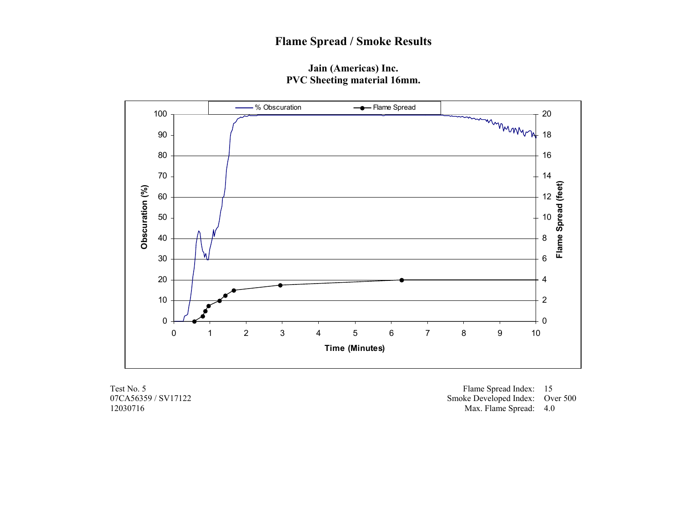## **Jain (Americas) Inc. PVC Sheeting material 16mm.**



07CA56359 / SV17122 12030716

Test No. 5 Flame Spread Index: 15 Smoke Developed Index: Over 500 Max. Flame Spread: 4.0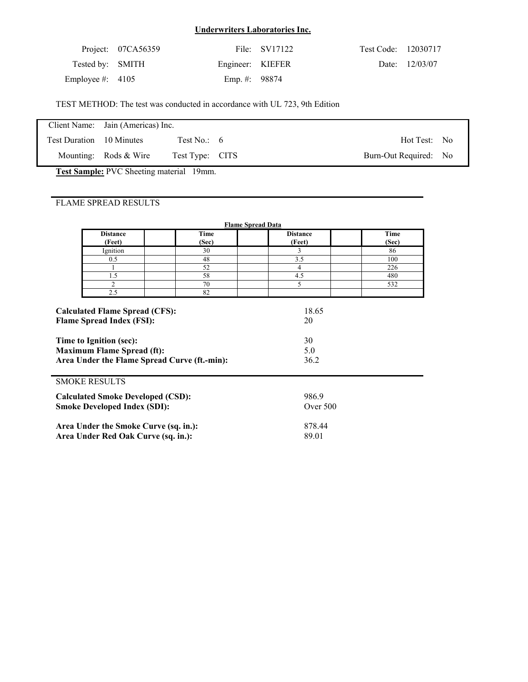|                    | Project: 07CA56359 |                  | File: SV17122 | Test Code: 12030717 |                |
|--------------------|--------------------|------------------|---------------|---------------------|----------------|
| Tested by: SMITH   |                    | Engineer: KIEFER |               |                     | Date: 12/03/07 |
| Employee #: $4105$ |                    | Emp. #: $98874$  |               |                     |                |

TEST METHOD: The test was conducted in accordance with UL 723, 9th Edition

|                          | Client Name: Jain (Americas) Inc. |                 |                       |  |
|--------------------------|-----------------------------------|-----------------|-----------------------|--|
| Test Duration 10 Minutes |                                   | Test No.: $6$   | Hot Test: No          |  |
|                          | Mounting: Rods $&$ Wire           | Test Type: CITS | Burn-Out Required: No |  |

**Test Sample:** PVC Sheeting material 19mm.

|                                                                                                                                                                                           | <b>Flame Spread Data</b>                                                        |                 |                                  |               |  |  |  |
|-------------------------------------------------------------------------------------------------------------------------------------------------------------------------------------------|---------------------------------------------------------------------------------|-----------------|----------------------------------|---------------|--|--|--|
|                                                                                                                                                                                           | <b>Distance</b><br>(Feet)                                                       | Time<br>(Sec)   | <b>Distance</b><br>(Feet)        | Time<br>(Sec) |  |  |  |
|                                                                                                                                                                                           | Ignition                                                                        | 30              | 3                                | 86            |  |  |  |
|                                                                                                                                                                                           | 0.5                                                                             | 48              | 3.5                              | 100           |  |  |  |
|                                                                                                                                                                                           |                                                                                 | 52              | 4                                | 226           |  |  |  |
|                                                                                                                                                                                           | 1.5                                                                             | 58              | 4.5                              | 480           |  |  |  |
|                                                                                                                                                                                           | $\overline{c}$                                                                  | 70              | 5                                | 532           |  |  |  |
|                                                                                                                                                                                           | 2.5                                                                             | 82              |                                  |               |  |  |  |
| <b>Calculated Flame Spread (CFS):</b><br><b>Flame Spread Index (FSI):</b><br>Time to Ignition (sec):<br><b>Maximum Flame Spread (ft):</b><br>Area Under the Flame Spread Curve (ft.-min): |                                                                                 |                 | 18.65<br>20<br>30<br>5.0<br>36.2 |               |  |  |  |
|                                                                                                                                                                                           | <b>SMOKE RESULTS</b>                                                            |                 |                                  |               |  |  |  |
|                                                                                                                                                                                           | <b>Calculated Smoke Developed (CSD):</b><br><b>Smoke Developed Index (SDI):</b> |                 | 986.9<br>Over 500                |               |  |  |  |
| Area Under the Smoke Curve (sq. in.):<br>Area Under Red Oak Curve (sq. in.):                                                                                                              |                                                                                 | 878.44<br>89.01 |                                  |               |  |  |  |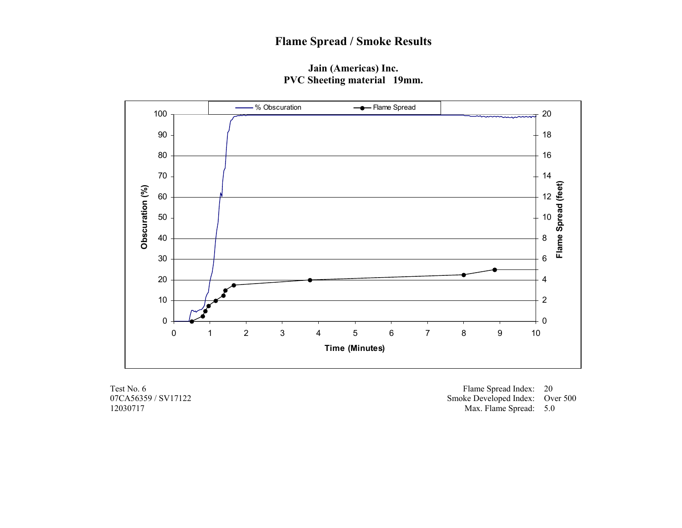# **Flame Spread / Smoke Results**

## **Jain (Americas) Inc. PVC Sheeting material 19mm.**



07CA56359 / SV17122 12030717

Test No. 6 Flame Spread Index: 20 Smoke Developed Index: Over 500 Max. Flame Spread: 5.0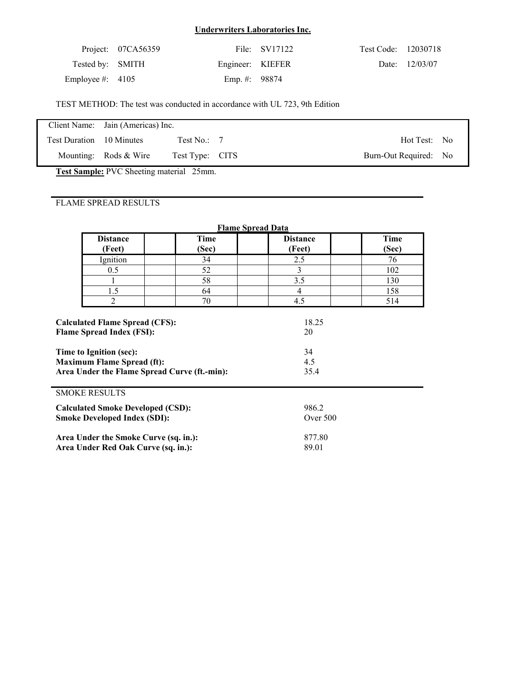|                    | Project: 07CA56359 |                  | File: SV17122 | Test Code: 12030718 |                |
|--------------------|--------------------|------------------|---------------|---------------------|----------------|
| Tested by: SMITH   |                    | Engineer: KIEFER |               |                     | Date: 12/03/07 |
| Employee #: $4105$ |                    | Emp. #: $98874$  |               |                     |                |

TEST METHOD: The test was conducted in accordance with UL 723, 9th Edition

|                          | Client Name: Jain (Americas) Inc. |                          |                       |  |
|--------------------------|-----------------------------------|--------------------------|-----------------------|--|
| Test Duration 10 Minutes |                                   | Test No.: $\overline{7}$ | Hot Test: No          |  |
|                          | Mounting: Rods $&$ Wire           | Test Type: CITS          | Burn-Out Required: No |  |

**Test Sample:** PVC Sheeting material 25mm.

| <b>Flame Spread Data</b>                                                                                                                         |                                       |                      |                           |                      |  |  |
|--------------------------------------------------------------------------------------------------------------------------------------------------|---------------------------------------|----------------------|---------------------------|----------------------|--|--|
|                                                                                                                                                  | <b>Distance</b><br>(Feet)             | <b>Time</b><br>(Sec) | <b>Distance</b><br>(Feet) | <b>Time</b><br>(Sec) |  |  |
|                                                                                                                                                  | Ignition                              | 34                   | 2.5                       | 76                   |  |  |
|                                                                                                                                                  | 0.5                                   | 52                   | 3                         | 102                  |  |  |
|                                                                                                                                                  |                                       | 58                   | 3.5                       | 130                  |  |  |
|                                                                                                                                                  | 1.5                                   | 64                   | $\overline{4}$            | 158                  |  |  |
|                                                                                                                                                  | 2                                     | 70                   | 4.5                       | 514                  |  |  |
| <b>Flame Spread Index (FSI):</b><br>Time to Ignition (sec):<br><b>Maximum Flame Spread (ft):</b><br>Area Under the Flame Spread Curve (ft.-min): |                                       |                      | 20<br>34<br>4.5<br>35.4   |                      |  |  |
| <b>SMOKE RESULTS</b>                                                                                                                             |                                       |                      |                           |                      |  |  |
| <b>Calculated Smoke Developed (CSD):</b>                                                                                                         |                                       |                      | 986.2                     |                      |  |  |
| <b>Smoke Developed Index (SDI):</b>                                                                                                              |                                       |                      | Over $500$                |                      |  |  |
|                                                                                                                                                  | Area Under the Smoke Curve (sq. in.): |                      | 877.80                    |                      |  |  |
|                                                                                                                                                  | Area Under Red Oak Curve (sq. in.):   |                      | 89.01                     |                      |  |  |